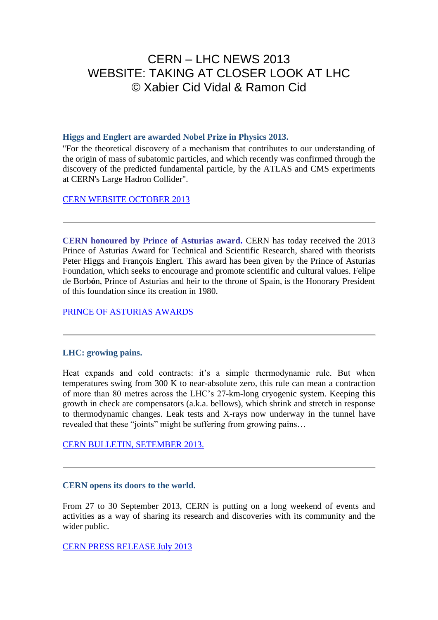# CERN – LHC NEWS 2013 WEBSITE: TAKING AT CLOSER LOOK AT LHC © Xabier Cid Vidal & Ramon Cid

#### **Higgs and Englert are awarded Nobel Prize in Physics 2013.**

"For the theoretical discovery of a mechanism that contributes to our understanding of the origin of mass of subatomic particles, and which recently was confirmed through the discovery of the predicted fundamental particle, by the ATLAS and CMS experiments at CERN's Large Hadron Collider".

[CERN WEBSITE OCTOBER 2013](http://home.web.cern.ch/about/updates/2013/10/CERN-congratulates-Englert-and-Higgs-on-Nobel-in-physics)

**CERN honoured by Prince of Asturias award.** CERN has today received the 2013 Prince of Asturias Award for Technical and Scientific Research, shared with theorists Peter Higgs and François Englert. This award has been given by the Prince of Asturias Foundation, which seeks to encourage and promote scientific and cultural values. Felipe de Borb**ó**n, Prince of Asturias and heir to the throne of Spain, is the Honorary President of this foundation since its creation in 1980.

[PRINCE OF ASTURIAS AWARDS](http://www.fpa.es/en/prince-of-asturias-awards/awards/2013-peter-higgs-franois-englert-and-cern.html?especifica=0)

## **LHC: growing pains.**

Heat expands and cold contracts: it's a simple thermodynamic rule. But when temperatures swing from 300 K to near-absolute zero, this rule can mean a contraction of more than 80 metres across the LHC's 27-km-long cryogenic system. Keeping this growth in check are compensators (a.k.a. bellows), which shrink and stretch in response to thermodynamic changes. Leak tests and X-rays now underway in the tunnel have revealed that these "joints" might be suffering from growing pains…

[CERN BULLETIN, SETEMBER 2013.](http://cds.cern.ch/journal/CERNBulletin/2013/38/News%20Articles/1599735?ln=en) 

#### **CERN opens its doors to the world.**

From 27 to 30 September 2013, CERN is putting on a long weekend of events and activities as a way of sharing its research and discoveries with its community and the wider public.

[CERN PRESS RELEASE July 2013](http://press.web.cern.ch/press-releases/2013/07/cern-opens-its-doors-world)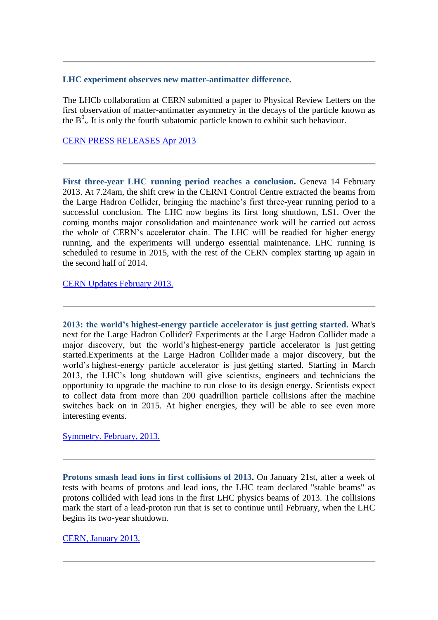#### **LHC experiment observes new matter-antimatter difference.**

The LHCb collaboration at CERN submitted a paper to Physical Review Letters on the first observation of matter-antimatter asymmetry in the decays of the particle known as the  $B^0$ <sub>s</sub>. It is only the fourth subatomic particle known to exhibit such behaviour.

### [CERN PRESS RELEASES Apr 2013](http://press.web.cern.ch/press-releases/2013/04/lhcb-experiment-observes-new-matter-antimatter-difference)

First three-year LHC running period reaches a conclusion. Geneva 14 February 2013. At 7.24am, the shift crew in the CERN1 Control Centre extracted the beams from the Large Hadron Collider, bringing the machine's first three-year running period to a successful conclusion. The LHC now begins its first long shutdown, LS1. Over the coming months major consolidation and maintenance work will be carried out across the whole of CERN's accelerator chain. The LHC will be readied for higher energy running, and the experiments will undergo essential maintenance. LHC running is scheduled to resume in 2015, with the rest of the CERN complex starting up again in the second half of 2014.

[CERN Updates February 2013.](http://home.web.cern.ch/about/updates/2013/02/lhc-access-required-time-estimate-2-years)

**2013: the world's highest-energy particle accelerator is just getting started.** What's next for the Large Hadron Collider? Experiments at the Large Hadron Collider made a major discovery, but the world's highest-energy particle accelerator is just getting started.Experiments at the Large Hadron Collider made a major discovery, but the world's highest-energy particle accelerator is just getting started. Starting in March 2013, the LHC's long shutdown will give scientists, engineers and technicians the opportunity to upgrade the machine to run close to its design energy. Scientists expect to collect data from more than 200 quadrillion particle collisions after the machine switches back on in 2015. At higher energies, they will be able to see even more interesting events.

[Symmetry. February, 2013.](http://www.symmetrymagazine.org/article/february-2013/whats-next-for-the-large-hadron-collider?email_issue=134)

**Protons smash lead ions in first collisions of 2013.** On January 21st, after a week of tests with beams of protons and lead ions, the LHC team declared "stable beams" as protons collided with lead ions in the first LHC physics beams of 2013. The collisions mark the start of a lead-proton run that is set to continue until February, when the LHC begins its two-year shutdown.

[CERN, January 2013.](http://home.web.cern.ch/about/updates/2013/01/protons-smash-lead-ions-first-lhc-collisions-2013)